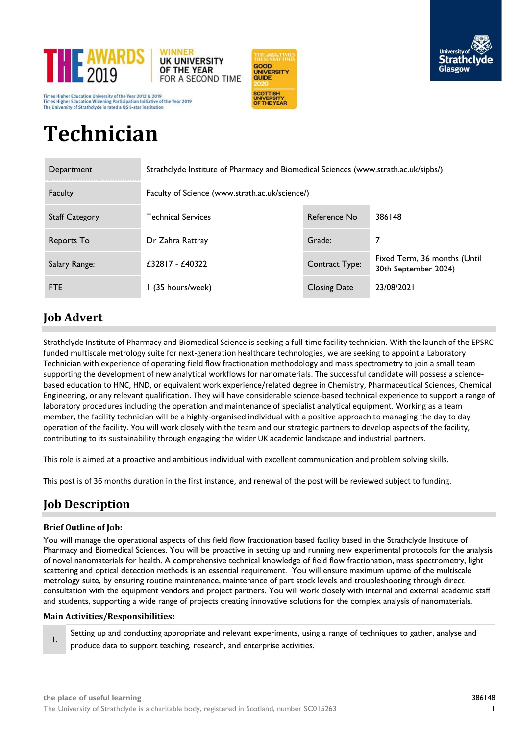

Times Higher Education University of the Year 2012 & 2019 Times Higher Education Widening Participation Initiative of the Year 2019 ersity of Strathclyde is rated a QS 5-star institutio





# **Technician**

| Department            | Strathclyde Institute of Pharmacy and Biomedical Sciences (www.strath.ac.uk/sipbs/) |                     |                                                      |  |
|-----------------------|-------------------------------------------------------------------------------------|---------------------|------------------------------------------------------|--|
| Faculty               | Faculty of Science (www.strath.ac.uk/science/)                                      |                     |                                                      |  |
| <b>Staff Category</b> | Technical Services                                                                  | Reference No        | 386148                                               |  |
| Reports To            | Dr Zahra Rattray                                                                    | Grade:              | 7                                                    |  |
| Salary Range:         | $£32817 - £40322$                                                                   | Contract Type:      | Fixed Term, 36 months (Until<br>30th September 2024) |  |
| <b>FTE</b>            | I (35 hours/week)                                                                   | <b>Closing Date</b> | 23/08/2021                                           |  |

# **Job Advert**

Strathclyde Institute of Pharmacy and Biomedical Science is seeking a full-time facility technician. With the launch of the EPSRC funded multiscale metrology suite for next-generation healthcare technologies, we are seeking to appoint a Laboratory Technician with experience of operating field flow fractionation methodology and mass spectrometry to join a small team supporting the development of new analytical workflows for nanomaterials. The successful candidate will possess a sciencebased education to HNC, HND, or equivalent work experience/related degree in Chemistry, Pharmaceutical Sciences, Chemical Engineering, or any relevant qualification. They will have considerable science-based technical experience to support a range of laboratory procedures including the operation and maintenance of specialist analytical equipment. Working as a team member, the facility technician will be a highly-organised individual with a positive approach to managing the day to day operation of the facility. You will work closely with the team and our strategic partners to develop aspects of the facility, contributing to its sustainability through engaging the wider UK academic landscape and industrial partners.

This role is aimed at a proactive and ambitious individual with excellent communication and problem solving skills.

This post is of 36 months duration in the first instance, and renewal of the post will be reviewed subject to funding.

# **Job Description**

### **Brief Outline of Job:**

You will manage the operational aspects of this field flow fractionation based facility based in the Strathclyde Institute of Pharmacy and Biomedical Sciences. You will be proactive in setting up and running new experimental protocols for the analysis of novel nanomaterials for health. A comprehensive technical knowledge of field flow fractionation, mass spectrometry, light scattering and optical detection methods is an essential requirement. You will ensure maximum uptime of the multiscale metrology suite, by ensuring routine maintenance, maintenance of part stock levels and troubleshooting through direct consultation with the equipment vendors and project partners. You will work closely with internal and external academic staff and students, supporting a wide range of projects creating innovative solutions for the complex analysis of nanomaterials.

### **Main Activities/Responsibilities:**

1. Setting up and conducting appropriate and relevant experiments, using a range of techniques to gather, analyse and produce data to support teaching, research, and enterprise activities.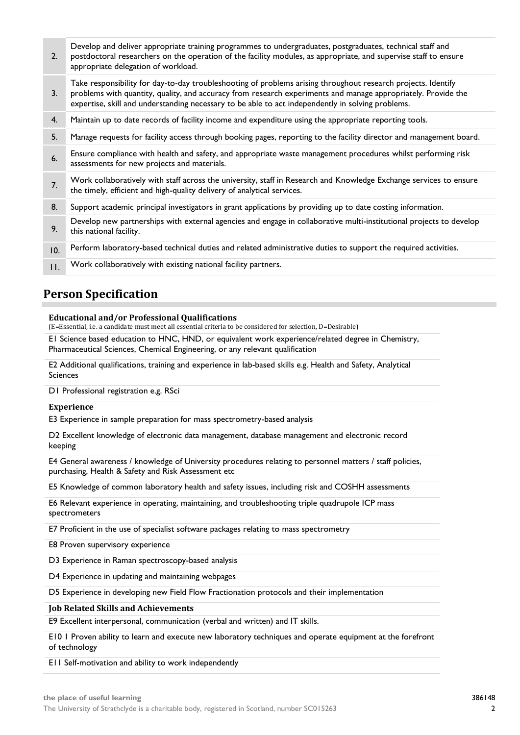| 2.      | Develop and deliver appropriate training programmes to undergraduates, postgraduates, technical staff and<br>postdoctoral researchers on the operation of the facility modules, as appropriate, and supervise staff to ensure<br>appropriate delegation of workload.                                                                |
|---------|-------------------------------------------------------------------------------------------------------------------------------------------------------------------------------------------------------------------------------------------------------------------------------------------------------------------------------------|
| 3.      | Take responsibility for day-to-day troubleshooting of problems arising throughout research projects. Identify<br>problems with quantity, quality, and accuracy from research experiments and manage appropriately. Provide the<br>expertise, skill and understanding necessary to be able to act independently in solving problems. |
| 4.      | Maintain up to date records of facility income and expenditure using the appropriate reporting tools.                                                                                                                                                                                                                               |
| 5.      | Manage requests for facility access through booking pages, reporting to the facility director and management board.                                                                                                                                                                                                                 |
| 6.      | Ensure compliance with health and safety, and appropriate waste management procedures whilst performing risk<br>assessments for new projects and materials.                                                                                                                                                                         |
| 7.      | Work collaboratively with staff across the university, staff in Research and Knowledge Exchange services to ensure<br>the timely, efficient and high-quality delivery of analytical services.                                                                                                                                       |
| 8.      | Support academic principal investigators in grant applications by providing up to date costing information.                                                                                                                                                                                                                         |
| 9.      | Develop new partnerships with external agencies and engage in collaborative multi-institutional projects to develop<br>this national facility.                                                                                                                                                                                      |
| 10.     | Perform laboratory-based technical duties and related administrative duties to support the required activities.                                                                                                                                                                                                                     |
| $\Pi$ . | Work collaboratively with existing national facility partners.                                                                                                                                                                                                                                                                      |

## **Person Specification**

#### **Educational and/or Professional Qualifications**

(E=Essential, i.e. a candidate must meet all essential criteria to be considered for selection, D=Desirable)

E1 Science based education to HNC, HND, or equivalent work experience/related degree in Chemistry, Pharmaceutical Sciences, Chemical Engineering, or any relevant qualification

E2 Additional qualifications, training and experience in lab-based skills e.g. Health and Safety, Analytical Sciences

D1 Professional registration e.g. RSci

#### **Experience**

E3 Experience in sample preparation for mass spectrometry-based analysis

D2 Excellent knowledge of electronic data management, database management and electronic record keeping

E4 General awareness / knowledge of University procedures relating to personnel matters / staff policies, purchasing, Health & Safety and Risk Assessment etc

E5 Knowledge of common laboratory health and safety issues, including risk and COSHH assessments

E6 Relevant experience in operating, maintaining, and troubleshooting triple quadrupole ICP mass spectrometers

E7 Proficient in the use of specialist software packages relating to mass spectrometry

E8 Proven supervisory experience

D3 Experience in Raman spectroscopy-based analysis

D4 Experience in updating and maintaining webpages

D5 Experience in developing new Field Flow Fractionation protocols and their implementation

#### **Job Related Skills and Achievements**

E9 Excellent interpersonal, communication (verbal and written) and IT skills.

E10 1 Proven ability to learn and execute new laboratory techniques and operate equipment at the forefront of technology

E11 Self-motivation and ability to work independently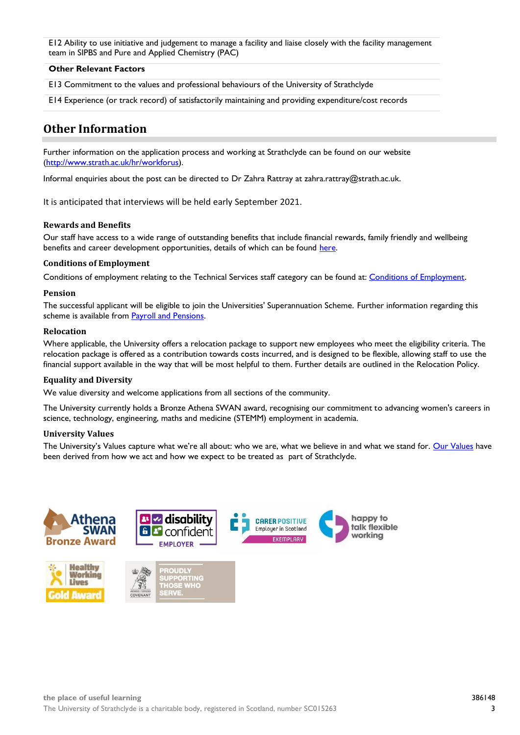E12 Ability to use initiative and judgement to manage a facility and liaise closely with the facility management team in SIPBS and Pure and Applied Chemistry (PAC)

#### **Other Relevant Factors**

E13 Commitment to the values and professional behaviours of the University of Strathclyde

E14 Experience (or track record) of satisfactorily maintaining and providing expenditure/cost records

### **Other Information**

Further information on the application process and working at Strathclyde can be found on our website [\(http://www.strath.ac.uk/hr/workforus\)](http://www.strath.ac.uk/hr/workforus).

Informal enquiries about the post can be directed to Dr Zahra Rattray at zahra.rattray@strath.ac.uk.

It is anticipated that interviews will be held early September 2021.

#### **Rewards and Benefits**

Our staff have access to a wide range of outstanding benefits that include financial rewards, family friendly and wellbeing benefits and career development opportunities, details of which can be found [here.](https://www.strath.ac.uk/workwithus/vacancies/rewardsbenefits/)

#### **Conditions of Employment**

Conditions of employment relating to the Technical Services staff category can be found at[: Conditions of Employment](http://www.strath.ac.uk/hr/careerpathways/informationtermsconditions/).

#### **Pension**

The successful applicant will be eligible to join the Universities' Superannuation Scheme. Further information regarding this scheme is available from [Payroll and Pensions.](http://www.strath.ac.uk/finance/financialservices/pensions/)

#### **Relocation**

Where applicable, the University offers a relocation package to support new employees who meet the eligibility criteria. The relocation package is offered as a contribution towards costs incurred, and is designed to be flexible, allowing staff to use the financial support available in the way that will be most helpful to them. Further details are outlined in the Relocation Policy.

#### **Equality and Diversity**

We value diversity and welcome applications from all sections of the community.

The University currently holds a Bronze Athena SWAN award, recognising our commitment to advancing women's careers in science, technology, engineering, maths and medicine (STEMM) employment in academia.

#### **University Values**

The University's Values capture what we're all about: who we are, what we believe in and what we stand for. [Our Values](https://www.strath.ac.uk/whystrathclyde/values/) have been derived from how we act and how we expect to be treated as part of Strathclyde.

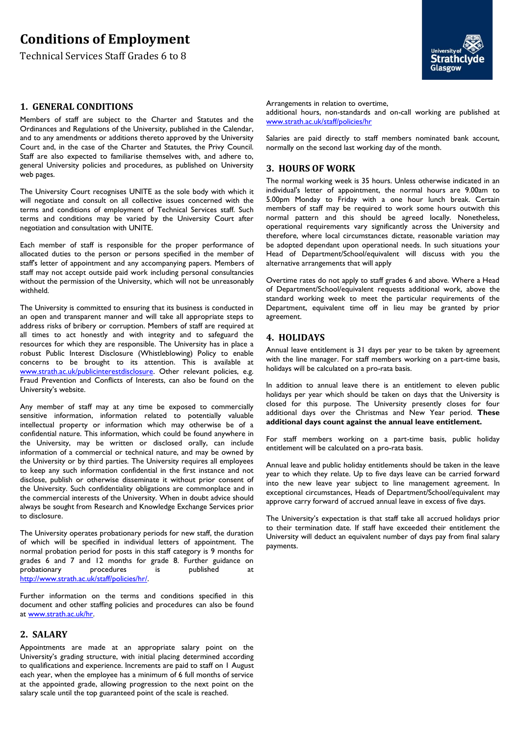# **Conditions of Employment**

Technical Services Staff Grades 6 to 8

#### **1. GENERAL CONDITIONS**

Members of staff are subject to the Charter and Statutes and the Ordinances and Regulations of the University, published in the Calendar, and to any amendments or additions thereto approved by the University Court and, in the case of the Charter and Statutes, the Privy Council. Staff are also expected to familiarise themselves with, and adhere to, general University policies and procedures, as published on University web pages.

The University Court recognises UNITE as the sole body with which it will negotiate and consult on all collective issues concerned with the terms and conditions of employment of Technical Services staff. Such terms and conditions may be varied by the University Court after negotiation and consultation with UNITE.

Each member of staff is responsible for the proper performance of allocated duties to the person or persons specified in the member of staff's letter of appointment and any accompanying papers. Members of staff may not accept outside paid work including personal consultancies without the permission of the University, which will not be unreasonably withheld.

The University is committed to ensuring that its business is conducted in an open and transparent manner and will take all appropriate steps to address risks of bribery or corruption. Members of staff are required at all times to act honestly and with integrity and to safeguard the resources for which they are responsible. The University has in place a robust Public Interest Disclosure (Whistleblowing) Policy to enable concerns to be brought to its attention. This is available at [www.strath.ac.uk/publicinterestdisclosure.](http://www.strath.ac.uk/publicinterestdisclosure) Other relevant policies, e.g. Fraud Prevention and Conflicts of Interests, can also be found on the University's website.

Any member of staff may at any time be exposed to commercially sensitive information, information related to potentially valuable intellectual property or information which may otherwise be of a confidential nature. This information, which could be found anywhere in the University, may be written or disclosed orally, can include information of a commercial or technical nature, and may be owned by the University or by third parties. The University requires all employees to keep any such information confidential in the first instance and not disclose, publish or otherwise disseminate it without prior consent of the University. Such confidentiality obligations are commonplace and in the commercial interests of the University. When in doubt advice should always be sought from Research and Knowledge Exchange Services prior to disclosure.

The University operates probationary periods for new staff, the duration of which will be specified in individual letters of appointment. The normal probation period for posts in this staff category is 9 months for grades 6 and 7 and 12 months for grade 8. Further guidance on probationary procedures is published at [http://www.strath.ac.uk/staff/policies/hr/.](http://www.strath.ac.uk/staff/policies/hr/)

Further information on the terms and conditions specified in this document and other staffing policies and procedures can also be found at [www.strath.ac.uk/hr.](http://www.strath.ac.uk/hr)

### **2. SALARY**

Appointments are made at an appropriate salary point on the University's grading structure, with initial placing determined according to qualifications and experience. Increments are paid to staff on 1 August each year, when the employee has a minimum of 6 full months of service at the appointed grade, allowing progression to the next point on the salary scale until the top guaranteed point of the scale is reached.

**Strathcly** Glasgow

Arrangements in relation to overtime,

additional hours, non-standards and on-call working are published at [www.strath.ac.uk/staff/policies/hr](http://www.strath.ac.uk/staff/policies/hr)

Salaries are paid directly to staff members nominated bank account, normally on the second last working day of the month.

#### **3. HOURS OF WORK**

The normal working week is 35 hours. Unless otherwise indicated in an individual's letter of appointment, the normal hours are 9.00am to 5.00pm Monday to Friday with a one hour lunch break. Certain members of staff may be required to work some hours outwith this normal pattern and this should be agreed locally. Nonetheless, operational requirements vary significantly across the University and therefore, where local circumstances dictate, reasonable variation may be adopted dependant upon operational needs. In such situations your Head of Department/School/equivalent will discuss with you the alternative arrangements that will apply

Overtime rates do not apply to staff grades 6 and above. Where a Head of Department/School/equivalent requests additional work, above the standard working week to meet the particular requirements of the Department, equivalent time off in lieu may be granted by prior agreement.

#### **4. HOLIDAYS**

Annual leave entitlement is 31 days per year to be taken by agreement with the line manager. For staff members working on a part-time basis, holidays will be calculated on a pro-rata basis.

In addition to annual leave there is an entitlement to eleven public holidays per year which should be taken on days that the University is closed for this purpose. The University presently closes for four additional days over the Christmas and New Year period. **These additional days count against the annual leave entitlement.**

For staff members working on a part-time basis, public holiday entitlement will be calculated on a pro-rata basis.

Annual leave and public holiday entitlements should be taken in the leave year to which they relate. Up to five days leave can be carried forward into the new leave year subject to line management agreement. In exceptional circumstances, Heads of Department/School/equivalent may approve carry forward of accrued annual leave in excess of five days.

The University's expectation is that staff take all accrued holidays prior to their termination date. If staff have exceeded their entitlement the University will deduct an equivalent number of days pay from final salary payments.